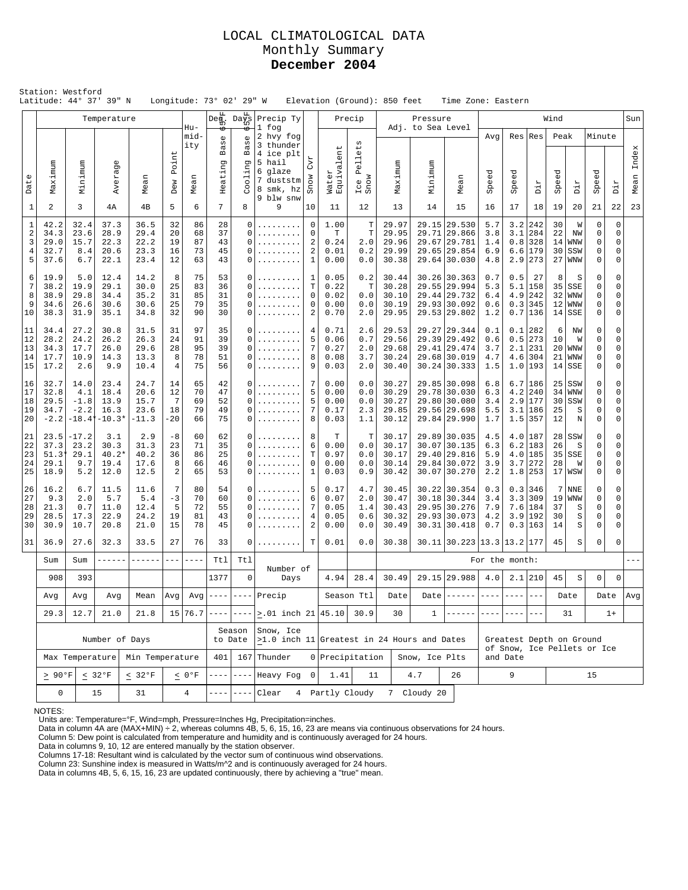### LOCAL CLIMATOLOGICAL DATA Monthly Summary **December 2004**

| Station: Westford<br>Latitude: 44° 37' 39" N<br>Longitude: 73° 02' 29" W<br>Elevation (Ground): 850 feet<br>Time Zone: Eastern<br>$\overline{{\rm Da}^{\rm fr}_{\rm LO}} $<br>Precip Ty<br>Precip<br>Wind<br>Temperature<br>Pressure |                                                           |                                                               |                                          |                                       |                            |                            |                            |                                                   |                                                                                                                               |                                                                               |                                      |                                    |                                           |                   |                                                                              |                                 |                                         |                                                     |                            |                                                         |                       |                                                     |               |
|--------------------------------------------------------------------------------------------------------------------------------------------------------------------------------------------------------------------------------------|-----------------------------------------------------------|---------------------------------------------------------------|------------------------------------------|---------------------------------------|----------------------------|----------------------------|----------------------------|---------------------------------------------------|-------------------------------------------------------------------------------------------------------------------------------|-------------------------------------------------------------------------------|--------------------------------------|------------------------------------|-------------------------------------------|-------------------|------------------------------------------------------------------------------|---------------------------------|-----------------------------------------|-----------------------------------------------------|----------------------------|---------------------------------------------------------|-----------------------|-----------------------------------------------------|---------------|
|                                                                                                                                                                                                                                      |                                                           |                                                               |                                          |                                       |                            | $Hu-$                      | $\mathsf{Deg}$             |                                                   | 1 fog                                                                                                                         |                                                                               |                                      |                                    |                                           |                   |                                                                              |                                 |                                         |                                                     |                            |                                                         |                       |                                                     | Sun           |
|                                                                                                                                                                                                                                      |                                                           |                                                               |                                          |                                       |                            | mid-<br>ity                | Base                       | $\mathbb U$<br>UΩ<br>൯<br>$\mathbf{m}$            | 2 hvy fog<br>3 thunder<br>4 ice plt                                                                                           |                                                                               | $\overline{ }$<br>en                 | $t\overline{a}$<br>$\mathbb U$     |                                           | Adj. to Sea Level |                                                                              | Avq                             | Res                                     | Res                                                 | Peak                       |                                                         | Minute                |                                                     |               |
| Date                                                                                                                                                                                                                                 | Maximum                                                   | Minimum                                                       | Averag                                   | Mean                                  | Point<br>Dew               | Mean                       | Heating                    | ה<br>$01$ in                                      | 5 hail<br>6 glaze<br>7 duststm<br>8 smk, hz<br>9 blw snw                                                                      | $\mathbb{C}\mathbb{V}\mathbb{1}$<br>Snow                                      | Water<br>Equivale                    | Pell <sub>(</sub><br>Ice 1<br>Snow | Maximum                                   | Minimum           | Mean                                                                         | Speed                           | eed<br>ŠP                               | Dir                                                 | Speed                      | Dir                                                     | Speed                 | Dir                                                 | Index<br>Mean |
| $1\,$                                                                                                                                                                                                                                | 2                                                         | 3                                                             | 4А                                       | 4B                                    | 5                          | 6                          | 7                          | 8                                                 | 9                                                                                                                             | 10                                                                            | 11                                   | 12                                 | 13                                        | 14                | 15                                                                           | 16                              | 17                                      | 18                                                  | 19                         | 20                                                      | 21                    | 22                                                  | 23            |
| $\mathbf 1$<br>$\overline{2}$<br>3<br>4<br>5                                                                                                                                                                                         | 42.2<br>34.3<br>29.0<br>32.7<br>37.6                      | 32.4<br>23.6<br>15.7<br>8.4<br>6.7                            | 37.3<br>28.9<br>22.3<br>20.6<br>22.1     | 36.5<br>29.4<br>22.2<br>23.3<br>23.4  | 32<br>20<br>19<br>16<br>12 | 86<br>68<br>87<br>73<br>63 | 28<br>37<br>43<br>45<br>43 | 0<br>$\Omega$<br>$\Omega$<br>$\Omega$<br>$\Omega$ | .<br>.<br>.                                                                                                                   | 0<br>$\mathbf 0$<br>$\overline{2}$<br>$\overline{\mathbf{c}}$<br>$\mathbf{1}$ | 1.00<br>T<br>0.24<br>0.01<br>0.00    | Т<br>T<br>2.0<br>0.2<br>0.0        | 29.97<br>29.95<br>29.96<br>29.99<br>30.38 |                   | 29.15 29.530<br>29.71 29.866<br>29.67 29.781<br>29.65 29.854<br>29.64 30.030 | 5.7<br>3.8<br>1.4<br>6.9<br>4.8 | 3.2<br>3.1<br>0.8<br>6.6<br>2.9         | 242<br>284<br>328<br> 179<br>273                    | 30<br>22<br>14<br>30<br>27 | W<br>NW<br><b>WNW</b><br>SSW<br><b>WNW</b>              | 0<br>0<br>0<br>0<br>0 | $\mathbf 0$<br>$\mathbf 0$<br>0<br>0<br>$\mathbf 0$ |               |
| 6<br>7<br>8<br>9<br>10                                                                                                                                                                                                               | 19.9<br>38.2<br>38.9<br>34.6<br>38.3                      | 5.0<br>19.9<br>29.8<br>26.6<br>31.9                           | 12.4<br>29.1<br>34.4<br>30.6<br>35.1     | 14.2<br>30.0<br>35.2<br>30.6<br>34.8  | 8<br>25<br>31<br>25<br>32  | 75<br>83<br>85<br>79<br>90 | 53<br>36<br>31<br>35<br>30 | $\Omega$<br>0<br>$\Omega$<br>$\Omega$<br>$\Omega$ | .<br>.<br>.                                                                                                                   | 1<br>T<br>$\mathbf 0$<br>$\mathbf 0$<br>$\overline{2}$                        | 0.05<br>0.22<br>0.02<br>0.00<br>0.70 | 0.2<br>Т<br>0.0<br>0.0<br>2.0      | 30.44<br>30.28<br>30.10<br>30.19<br>29.95 |                   | 30.26 30.363<br>29.55 29.994<br>29.44 29.732<br>29.93 30.092<br>29.53 29.802 | 0.7<br>5.3<br>6.4<br>0.6<br>1.2 | 0.5<br>5.1<br>4.9<br>0.3                | 27<br>158<br>242<br>345<br>0.7 136                  | 8<br>32<br>12<br>14        | S<br>$35$ SSE<br><b>WNW</b><br><b>WNW</b><br><b>SSE</b> | 0<br>0<br>0<br>0<br>0 | 0<br>0<br>0<br>0<br>0                               |               |
| 11<br>12<br>13<br>14<br>15                                                                                                                                                                                                           | 34.4<br>28.2<br>34.3<br>17.7<br>17.2                      | 27.2<br>24.2<br>17.7<br>10.9<br>2.6                           | 30.8<br>26.2<br>26.0<br>14.3<br>9.9      | 31.5<br>26.3<br>29.6<br>13.3<br>10.4  | 31<br>24<br>28<br>8<br>4   | 97<br>91<br>95<br>78<br>75 | 35<br>39<br>39<br>51<br>56 | 0<br>$\Omega$<br>$\Omega$<br>0<br>$\Omega$        | .<br>.<br>.<br>.                                                                                                              | 4<br>5<br>$\overline{7}$<br>8<br>9                                            |                                      | 2.6<br>0.7<br>2.0<br>3.7<br>2.0    | 29.53<br>29.56<br>29.68<br>30.24<br>30.40 |                   | 29.27 29.344<br>29.39 29.492<br>29.41 29.474<br>29.68 30.019<br>30.24 30.333 | 0.1<br>0.6<br>3.7<br>4.7<br>1.5 | 0.1<br>0.5<br>2.1                       | 282<br>273<br>231<br>$4.6$   304<br>$1.0$  193      | 6<br>10<br>20<br>21<br>14  | ΝW<br>W<br><b>WNW</b><br><b>WNW</b><br>SSE              | 0<br>0<br>0<br>0<br>0 | 0<br>0<br>$\Omega$<br>0<br>0                        |               |
| 16<br>17<br>18<br>19<br>20                                                                                                                                                                                                           | 32.7<br>32.8<br>29.5<br>34.7<br>$-2.2$                    | 14.0<br>4.1<br>$-1.8$<br>$-2.2$<br>$-18.4*$                   | 23.4<br>18.4<br>13.9<br>16.3<br>$-10.3*$ | 24.7<br>20.6<br>15.7<br>23.6<br>-11.3 | 14<br>12<br>7<br>18<br>-20 | 65<br>70<br>69<br>79<br>66 | 42<br>47<br>52<br>49<br>75 | 0<br>$\Omega$<br>$\Omega$<br>$\Omega$<br>0        | .<br>.                                                                                                                        | 7<br>5<br>5<br>7<br>8                                                         |                                      | 0.0<br>0.0<br>0.0<br>2.3<br>1.1    | 30.27<br>30.29<br>30.27<br>29.85<br>30.12 |                   | 29.85 30.098<br>29.78 30.030<br>29.80 30.080<br>29.56 29.698<br>29.84 29.990 | 6.8<br>6.3<br>3.4<br>5.5<br>1.7 | 4.2<br>2.9<br>1.5                       | 6.7 186<br>240<br>177<br>$3.1$   186<br>357         | 25<br>34<br>30<br>25<br>12 | SSW<br>WNW<br>SSW<br>S<br>$\rm N$                       | 0<br>0<br>0<br>0<br>0 | $\mathbf 0$<br>0<br>0<br>0<br>0                     |               |
| 21<br>22<br>23<br>24<br>25                                                                                                                                                                                                           | 23.5<br>37.3<br>51.3<br>29.1<br>18.9                      | $-17.2$<br>23.2<br>29.1<br>9.7<br>5.2                         | 3.1<br>30.3<br>$40.2*$<br>19.4<br>12.0   | 2.9<br>31.3<br>40.2<br>17.6<br>12.5   | $-8$<br>23<br>36<br>8<br>2 | 60<br>71<br>86<br>66<br>65 | 62<br>35<br>25<br>46<br>53 | $\Omega$<br>$\Omega$<br>$\Omega$<br>$\Omega$<br>0 | .<br>.<br>.                                                                                                                   | 8<br>6<br>$\mathbf T$<br>$\mathbf 0$<br>$\mathbf{1}$                          | т<br>0.00<br>0.97<br>0.00<br>0.03    | Т<br>0.0<br>0.0<br>0.0<br>0.9      | 30.17<br>30.17<br>30.17<br>30.14<br>30.42 |                   | 29.89 30.035<br>30.07 30.135<br>29.40 29.816<br>29.84 30.072<br>30.07 30.270 | 4.5<br>6.3<br>5.9<br>3.9<br>2.2 | 6.2<br>3.7                              | $4.0$  187<br>183<br>$4.0$  185<br>272<br>$1.8$ 253 | 28<br>26<br>35<br>28       | SSW<br>S<br>SSE<br>W<br>17 WSW                          | 0<br>0<br>0<br>0<br>0 | 0<br>0<br>0<br>0<br>0                               |               |
| 26<br>27<br>28<br>29<br>30                                                                                                                                                                                                           | 16.2<br>9.3<br>21.3<br>28.5<br>30.9                       | 6.7<br>2.0<br>0.7<br>17.3<br>10.7                             | 11.5<br>5.7<br>11.0<br>22.9<br>20.8      | 11.6<br>5.4<br>12.4<br>24.2<br>21.0   | 7<br>$-3$<br>5<br>19<br>15 | 80<br>70<br>72<br>81<br>78 | 54<br>60<br>55<br>43<br>45 | $\Omega$<br>$\Omega$<br>$\Omega$<br>0<br>$\Omega$ | .<br>.                                                                                                                        | 5<br>6<br>$\overline{7}$<br>$\overline{4}$<br>$\overline{2}$                  | 0.17<br>0.07<br>0.05<br>0.05<br>0.00 | 4.7<br>2.0<br>1.4<br>0.6<br>0.0    | 30.45<br>30.47<br>30.43<br>30.32<br>30.49 |                   | 30.22 30.354<br>30.18 30.344<br>29.95 30.276<br>29.93 30.073<br>30.31 30.418 | 0.3<br>3.4<br>7.9<br>4.2<br>0.7 | 3.3<br>3.9<br>0.3                       | $0.3$   346<br>309<br>7.6 184<br>192<br>163         | 7<br>19<br>37<br>30<br>14  | <b>NNE</b><br><b>WNW</b><br>S<br>S<br>S                 | 0<br>0<br>0<br>0<br>0 | 0<br>0<br>0<br>0<br>0                               |               |
| 31                                                                                                                                                                                                                                   | 36.9                                                      | 27.6                                                          | 32.3                                     | 33.5                                  | 27                         | 76                         | 33                         | 0                                                 |                                                                                                                               | Т                                                                             | 0.01                                 | 0.0                                | 30.38                                     |                   | 30.11 30.223 13.3 13.2 177                                                   |                                 |                                         |                                                     | 45                         | S                                                       | 0                     | 0                                                   |               |
|                                                                                                                                                                                                                                      | Sum                                                       | Sum                                                           |                                          | ------                                | $---$                      |                            | Ttl                        | Tt1                                               | Number of                                                                                                                     |                                                                               |                                      |                                    |                                           |                   |                                                                              | For the month:                  |                                         |                                                     |                            |                                                         |                       |                                                     |               |
|                                                                                                                                                                                                                                      | 908<br>Avg                                                | 393                                                           |                                          |                                       |                            |                            | 1377                       |                                                   | $\mathbf 0$<br>Days<br>$Avg \left  \frac{\text{---}}{\text{---}} \right  \left. \frac{\text{---}}{\text{---}} \right $ Precip |                                                                               | 4.94                                 | 28.4<br>Season Ttl                 | 30.49<br>Date                             | Date              | 29.15 29.988                                                                 | 4.0                             | $---$                                   | $2.1$   210                                         | 45                         | $\rm S$<br>Date                                         | 0<br>Date             | 0                                                   | Avg           |
|                                                                                                                                                                                                                                      | 29.3                                                      | Avg<br>Avg<br>Mean<br>Avg <br>12.7<br>21.0<br>21.8<br>15 76.7 |                                          |                                       |                            |                            |                            |                                                   | $---  > .01$ inch $21   45.10 $                                                                                               |                                                                               |                                      | 30.9                               | 30                                        | $\mathbf{1}$      |                                                                              |                                 |                                         |                                                     |                            | 31                                                      |                       | $1+$                                                |               |
|                                                                                                                                                                                                                                      |                                                           |                                                               |                                          | Number of Days                        |                            |                            |                            | Season<br>to Date                                 | Snow, Ice<br>$>1.0$ inch 11 Greatest in 24 Hours and Dates                                                                    |                                                                               |                                      |                                    |                                           |                   |                                                                              |                                 | Greatest Depth on Ground                |                                                     |                            |                                                         |                       |                                                     |               |
|                                                                                                                                                                                                                                      | Max Temperature<br>Min Temperature                        |                                                               |                                          |                                       |                            |                            | 401                        |                                                   | $167$ Thunder                                                                                                                 |                                                                               | 0 Precipitation                      |                                    |                                           | Snow, Ice Plts    |                                                                              |                                 | of Snow, Ice Pellets or Ice<br>and Date |                                                     |                            |                                                         |                       |                                                     |               |
|                                                                                                                                                                                                                                      | $\geq 90^{\circ}$ F<br>$< 32^{\circ}F$<br>$< 32^{\circ}F$ |                                                               |                                          |                                       |                            | $< 0°$ F                   |                            | $- - - -$                                         | Heavy Fog                                                                                                                     | 0                                                                             | 1.41                                 | 11                                 |                                           | 4.7               | 26                                                                           | 9                               |                                         | 15                                                  |                            |                                                         |                       |                                                     |               |
| $\mathbf 0$<br>Clear<br>7 Cloudy 20<br>15<br>31<br>4<br>$- - - -$<br>$- - - - -$<br>4 Partly Cloudy                                                                                                                                  |                                                           |                                                               |                                          |                                       |                            |                            |                            |                                                   |                                                                                                                               |                                                                               |                                      |                                    |                                           |                   |                                                                              |                                 |                                         |                                                     |                            |                                                         |                       |                                                     |               |

NOTES:

Units are: Temperature=°F, Wind=mph, Pressure=Inches Hg, Precipitation=inches.<br>Data in column 4A are (MAX+MIN) ÷ 2, whereas columns 4B, 5, 6, 15, 16, 23 are means via continuous observations for 24 hours.<br>Column 5: Dew po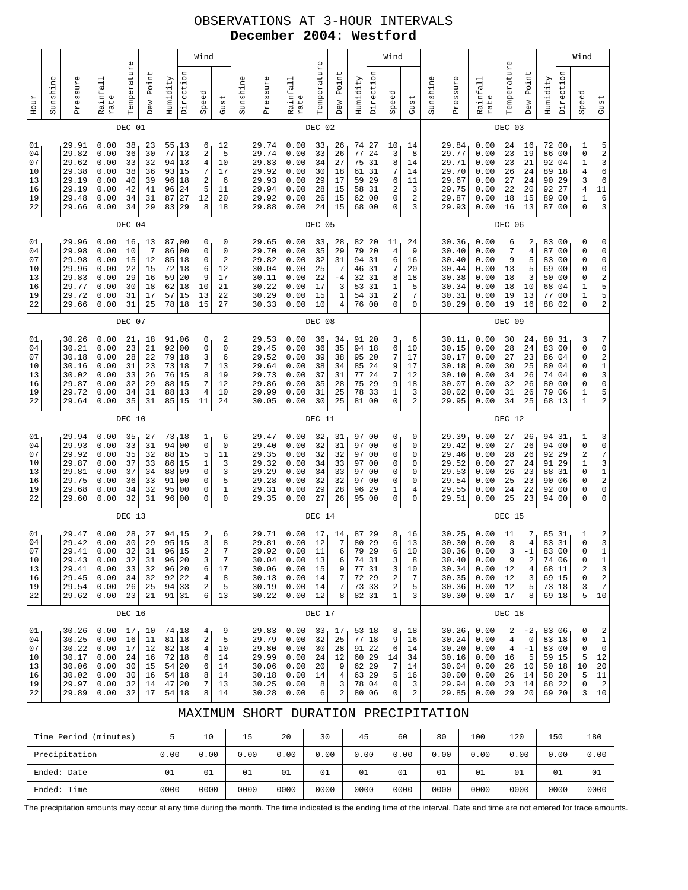## OBSERVATIONS AT 3-HOUR INTERVALS **December 2004: Westford**

|                                              |          |                                                                      |                                                              |                                              |                                              |                                              |                                                                                               | Wind                                                                        |                                                                  |          |                                                                      |                                                              |                                                  |                                                                              |                                                                             |                                                                                                            | Wind                                            |                                            |          |                                                                      |                                                              |                                                            |                                                                  |                                                                      |                                                                                                    | Wind                                                                                   |                                                                                    |
|----------------------------------------------|----------|----------------------------------------------------------------------|--------------------------------------------------------------|----------------------------------------------|----------------------------------------------|----------------------------------------------|-----------------------------------------------------------------------------------------------|-----------------------------------------------------------------------------|------------------------------------------------------------------|----------|----------------------------------------------------------------------|--------------------------------------------------------------|--------------------------------------------------|------------------------------------------------------------------------------|-----------------------------------------------------------------------------|------------------------------------------------------------------------------------------------------------|-------------------------------------------------|--------------------------------------------|----------|----------------------------------------------------------------------|--------------------------------------------------------------|------------------------------------------------------------|------------------------------------------------------------------|----------------------------------------------------------------------|----------------------------------------------------------------------------------------------------|----------------------------------------------------------------------------------------|------------------------------------------------------------------------------------|
| Hour                                         | Sunshine | Pressure                                                             | Rainfall<br>rate                                             | Temperature                                  | Point<br>Dew                                 | Humidity                                     | Direction                                                                                     | Speed                                                                       | Gust                                                             | Sunshine | Pressure                                                             | Rainfall<br>rate                                             | Temperature                                      | Point<br>Dew                                                                 | Humidity                                                                    | Direction                                                                                                  | Speed                                           | Gust                                       | Sunshine | Pressure                                                             | Rainfall<br>rate                                             | Temperature                                                | Point<br>Dew                                                     | Humidity                                                             | Direction                                                                                          | Speed                                                                                  | Gust                                                                               |
|                                              |          |                                                                      |                                                              | DEC 01                                       |                                              |                                              |                                                                                               |                                                                             |                                                                  |          |                                                                      |                                                              | DEC 02                                           |                                                                              |                                                                             |                                                                                                            |                                                 |                                            |          |                                                                      |                                                              | DEC 03                                                     |                                                                  |                                                                      |                                                                                                    |                                                                                        |                                                                                    |
| 01<br>04<br>07<br>10<br>13<br>16<br>19<br>22 |          | 29.91<br>29.82<br>29.62<br>29.38<br>29.19<br>29.19<br>29.48<br>29.66 | 0.00<br>0.00<br>0.00<br>0.00<br>0.00<br>0.00<br>0.00<br>0.00 | 38<br>36<br>33<br>38<br>40<br>42<br>34<br>34 | 23<br>30<br>32<br>36<br>39<br>41<br>31<br>29 | 55<br>77<br>94<br>93<br>96<br>96<br>87<br>83 | 13<br>13<br>13<br>15<br>18<br>24<br>27<br>29                                                  | 6<br>$\overline{\mathbf{c}}$<br>4<br>7<br>2<br>5<br>12<br>8                 | 12<br>5<br>10<br>17<br>6<br>11<br>20<br>18                       |          | 29.74<br>29.74<br>29.83<br>29.92<br>29.93<br>29.94<br>29.92<br>29.88 | 0.00<br>0.00<br>0.00<br>0.00<br>0.00<br>0.00<br>0.00<br>0.00 | 33<br>33<br>34<br>30<br>29<br>28<br>26<br>24     | 26<br>26<br>27<br>18<br>17<br>15<br>15<br>15                                 | 74<br>77<br>75<br>61<br>59<br>58<br>62<br>68                                | 27<br>24<br>31<br>31<br>29<br>31<br>00<br>00                                                               | 10<br>3<br>8<br>7<br>6<br>2<br>0<br>0           | 14<br>8<br>14<br>14<br>11<br>3<br>2<br>3   |          | 29.84<br>29.77<br>29.71<br>29.70<br>29.67<br>29.75<br>29.87<br>29.93 | 0.00<br>0.00<br>0.00<br>0.00<br>0.00<br>0.00<br>0.00<br>0.00 | 24<br>23<br>23<br>26<br>27<br>22<br>18<br>16               | 16<br>19<br>21<br>24<br>24<br>20<br>15<br>13                     | 72<br>86<br>92<br>89<br>90<br>92<br>89<br>87                         | 00 ر<br>0 <sub>0</sub><br>04<br>18<br>29<br>27<br>0 <sub>0</sub><br>0 <sub>0</sub>                 | 1<br>0<br>$\mathbf 1$<br>$\bf{4}$<br>3<br>$\overline{4}$<br>$\mathbf 1$<br>$\mathbf 0$ | 52366<br>11<br>6<br>3                                                              |
|                                              |          |                                                                      |                                                              | DEC 04                                       |                                              |                                              |                                                                                               |                                                                             |                                                                  |          |                                                                      |                                                              | DEC 05                                           |                                                                              |                                                                             |                                                                                                            |                                                 |                                            |          |                                                                      |                                                              | DEC 06                                                     |                                                                  |                                                                      |                                                                                                    |                                                                                        |                                                                                    |
| 01<br>04<br>07<br>10<br>13<br>16<br>19<br>22 |          | 29.96<br>29.98<br>29.98<br>29.96<br>29.83<br>29.77<br>29.72<br>29.66 | 0.00<br>0.00<br>0.00<br>0.00<br>0.00<br>0.00<br>0.00<br>0.00 | 16<br>10<br>15<br>22<br>29<br>30<br>31<br>31 | 13<br>7<br>12<br>15<br>16<br>18<br>17<br>25  | 86<br>85<br>72<br>59<br>62<br>57<br>78       | 87,00<br>0 <sub>0</sub><br>18<br>18<br>20<br>18<br>15<br>18                                   | 0<br>0<br>0<br>6<br>9<br>10<br>13<br>15                                     | 0<br>$\mathsf 0$<br>$\overline{a}$<br>12<br>17<br>21<br>22<br>27 |          | 29.65<br>29.70<br>29.82<br>30.04<br>30.11<br>30.22<br>30.29<br>30.33 | 0.00<br>0.00<br>0.00<br>0.00<br>0.00<br>0.00<br>0.00<br>0.00 | 33<br>35<br>32<br>25<br>22<br>17<br>15<br>10     | 28<br>29<br>31<br>$\overline{7}$<br>-4<br>3<br>$\mathbf 1$<br>$\overline{4}$ | 82, 20<br>79<br>94<br>46<br>32<br>53<br>54<br>76                            | 20<br>31<br>31<br>31<br>31<br>31<br>0 <sub>0</sub>                                                         | 11<br>4<br>6<br>7<br>8<br>1<br>2<br>0           | 24<br>9<br>16<br>20<br>18<br>5<br>7<br>0   |          | 30.36<br>30.40<br>30.40<br>30.44<br>30.38<br>30.34<br>30.31<br>30.29 | 0.00<br>0.00<br>0.00<br>0.00<br>0.00<br>0.00<br>0.00<br>0.00 | 6<br>7<br>9<br>13<br>18<br>18<br>19<br>19                  | 2<br>$\,4$<br>5<br>5<br>3<br>10<br>13<br>16                      | 83,00<br>87<br>83<br>69<br>50<br>68<br>77<br>88                      | 0 <sub>0</sub><br>0 <sub>0</sub><br>0 <sub>0</sub><br>0 <sub>0</sub><br>04<br>0 <sub>0</sub><br>02 | 0<br>0<br>0<br>0<br>0<br>$\mathbf 1$<br>$\mathbf 1$<br>$\Omega$                        | 0<br>0<br>0<br>0<br>2<br>5<br>5<br>2                                               |
|                                              | DEC 07   |                                                                      |                                                              |                                              |                                              |                                              |                                                                                               |                                                                             |                                                                  |          |                                                                      | DEC 08                                                       |                                                  |                                                                              |                                                                             |                                                                                                            |                                                 |                                            |          |                                                                      | DEC 09                                                       |                                                            |                                                                  |                                                                      |                                                                                                    |                                                                                        |                                                                                    |
| 01<br>04<br>07<br>10<br>13<br>16<br>19<br>22 |          | 30.26<br>30.21<br>30.18<br>30.16<br>30.02<br>29.87<br>29.72<br>29.64 | 0.00<br>0.00<br>0.00<br>0.00<br>0.00<br>0.00<br>0.00<br>0.00 | 21<br>23<br>28<br>31<br>33<br>32<br>34<br>35 | 18<br>21<br>22<br>23<br>26<br>29<br>31<br>31 | 92<br>79<br>73<br>76<br>88<br>88<br>85       | 91,06<br>0 <sub>0</sub><br>18<br>18<br>15<br>15<br>13<br>15                                   | 0<br>0<br>3<br>7<br>8<br>7<br>4<br>11                                       | 2<br>$\mathsf 0$<br>6<br>13<br>19<br>12<br>10<br>24              |          | 29.53<br>29.45<br>29.52<br>29.64<br>29.73<br>29.86<br>29.99<br>30.05 | 0.00<br>0.00<br>0.00<br>0.00<br>0.00<br>0.00<br>0.00<br>0.00 | 36<br>36<br>39<br>38<br>37<br>35<br>31<br>30     | 34<br>35<br>38<br>34<br>31<br>28<br>25<br>25                                 | 91, 20<br>94<br>95<br>85<br>77<br>75<br>78<br>81                            | 18<br>20<br>24<br>24<br>29<br>33<br>0 <sub>0</sub>                                                         | 3<br>6<br>7<br>9<br>7<br>9<br>1<br>0            | 6<br>10<br>17<br>17<br>12<br>18<br>3<br>2  |          | 30.11<br>30.15<br>30.17<br>30.18<br>30.10<br>30.07<br>30.02<br>29.95 | 0.00<br>0.00<br>0.00<br>0.00<br>0.00<br>0.00<br>0.00<br>0.00 | 30<br>28<br>27<br>30<br>34<br>32<br>31<br>34               | 24<br>24<br>23<br>25<br>26<br>26<br>26<br>25                     | 80, 31<br>83<br>86<br>80<br>74<br>80<br>79<br>68                     | 0 <sub>0</sub><br>04<br>04<br>04<br>0 <sub>0</sub><br>06<br> 13                                    | 3<br>0<br>0<br>0<br>0<br>0<br>1<br>$\mathbf{1}$                                        | 7<br>0<br>$\begin{array}{c} 2 \\ 1 \\ 3 \\ 0 \end{array}$<br>$\frac{5}{2}$         |
|                                              |          |                                                                      |                                                              | DEC 10                                       |                                              |                                              |                                                                                               |                                                                             |                                                                  |          |                                                                      |                                                              | DEC 11                                           |                                                                              |                                                                             |                                                                                                            |                                                 |                                            |          |                                                                      |                                                              | DEC 12                                                     |                                                                  |                                                                      |                                                                                                    |                                                                                        |                                                                                    |
| 01<br>04<br>07<br>10<br>13<br>16<br>19<br>22 |          | 29.94<br>29.93<br>29.92<br>29.87<br>29.81<br>29.75<br>29.68<br>29.60 | 0.00<br>0.00<br>0.00<br>0.00<br>0.00<br>0.00<br>0.00<br>0.00 | 35<br>33<br>35<br>37<br>37<br>36<br>34<br>32 | 27<br>31<br>32<br>33<br>34<br>33<br>32<br>31 | 73<br>94<br>88<br>86<br>88<br>91<br>95<br>96 | <sub>1</sub> 18<br>0 <sub>0</sub><br>15<br>15<br>09<br>0 <sub>0</sub><br>00<br>0 <sub>0</sub> | 1<br>0<br>5<br>$1\,$<br>0<br>0<br>0<br>0                                    | 6<br>$\mathbf 0$<br>11<br>3<br>3<br>5<br>1<br>$\mathbf 0$        |          | 29.47<br>29.40<br>29.35<br>29.32<br>29.29<br>29.28<br>29.31<br>29.35 | 0.00<br>0.00<br>0.00<br>0.00<br>0.00<br>0.00<br>0.00<br>0.00 | 32<br>32<br>32<br>34<br>34<br>32<br>29<br>27     | 31<br>31<br>32<br>33<br>33<br>32<br>28<br>26                                 | 97<br>97<br>97<br>97<br>97<br>97<br>96<br>95                                | , 00<br>0 <sub>0</sub><br>0 <sub>0</sub><br>0 <sub>0</sub><br>0 <sub>0</sub><br>0 <sub>0</sub><br>29<br>00 | 0<br>0<br>0<br>0<br>0<br>0<br>1<br>$\Omega$     | 0<br>0<br>0<br>0<br>0<br>0<br>4<br>0       |          | 29.39<br>29.42<br>29.46<br>29.52<br>29.53<br>29.54<br>29.55<br>29.51 | 0.00<br>0.00<br>0.00<br>0.00<br>0.00<br>0.00<br>0.00<br>0.00 | 27<br>27<br>28<br>27<br>26<br>25<br>24<br>25               | 26<br>26<br>26<br>24<br>23<br>23<br>22<br>23                     | 94, 31<br>94 00<br>92<br>91<br>88<br>90<br>92<br>94 00               | 29<br>29<br>31<br>06<br>00                                                                         | 1<br>$\mathsf{O}\xspace$<br>$\mathbf 2$<br>$\mathbf 1$<br>0<br>0<br>0<br>0             | 3<br>0<br>7<br>$\begin{array}{c} 3 \\ 1 \\ 2 \end{array}$<br>0<br>0                |
|                                              |          |                                                                      |                                                              | DEC 13                                       |                                              |                                              |                                                                                               |                                                                             |                                                                  |          |                                                                      |                                                              | DEC 14                                           |                                                                              |                                                                             |                                                                                                            |                                                 |                                            |          |                                                                      |                                                              | DEC 15                                                     |                                                                  |                                                                      |                                                                                                    |                                                                                        |                                                                                    |
| 01<br>04<br>07<br>10<br>13<br>16<br>19<br>22 |          | 29.47<br>29.42<br>29.41<br>29.43<br>29.41<br>29.45<br>29.54<br>29.62 | 0.00<br>0.00<br>0.00<br>0.00<br>0.00<br>0.00<br>0.00<br>0.00 | 28<br>30<br>32<br>32<br>33<br>34<br>26<br>23 | 27<br>29<br>31<br>31<br>32<br>32<br>25<br>21 | 95<br>96<br>96                               | 94,15<br>15<br>15<br>20<br>96 20<br>92 22<br>94 33<br>91 31                                   | $\frac{2}{3}$<br>2<br>3<br>6<br>$\overline{4}$<br>2<br>б                    | 6<br>8<br>7<br>17<br>8<br>5<br>13                                |          | 29.71<br>29.81<br>29.92<br>30.04<br>30.06<br>30.13<br>30.19<br>30.22 | 0.00<br>0.00<br>0.00<br>0.00<br>0.00<br>0.00<br>0.00<br>0.00 | 17<br>12<br>$11\,$<br>13<br>15<br>14<br>14<br>12 | 14<br>7<br>6<br>6<br>9<br>$\sqrt{ }$<br>$\sqrt{ }$<br>8                      | 87<br>80<br>79   29<br>74 31<br>77 31<br>72 29<br>73 33<br>82 31            | 29<br>29                                                                                                   | 8<br>6<br>6<br>3<br>3<br>2<br>2<br>$\mathbf{1}$ | 16<br>13<br>$10$<br>8<br>10<br>7<br>5<br>3 |          | 30.25<br>30.30<br>30.36<br>30.40<br>30.34<br>30.35<br>30.36<br>30.30 | 0.00<br>0.00<br>0.00<br>0.00<br>0.00<br>0.00<br>0.00<br>0.00 | 11<br>8<br>3<br>9<br>12<br>12<br>12<br>17                  | 7<br>4<br>$-1$<br>$\,2$<br>$\,4$<br>3<br>5<br>8                  | 85<br>83<br>83   00<br>74 06<br>68 11<br>69 15<br>73 18              | 31<br>31<br>69 18                                                                                  | 1<br>$\mathbf 0$<br>0<br>0<br>$\sqrt{2}$<br>0<br>3<br>5                                | $\frac{2}{3}$<br>$\mathbf 1$<br>$\mathbf 1$<br>3<br>$\sqrt{2}$<br>$\sqrt{ }$<br>10 |
|                                              | DEC 16   |                                                                      |                                                              |                                              |                                              |                                              |                                                                                               |                                                                             |                                                                  | DEC 17   |                                                                      |                                                              |                                                  |                                                                              |                                                                             |                                                                                                            |                                                 |                                            | DEC 18   |                                                                      |                                                              |                                                            |                                                                  |                                                                      |                                                                                                    |                                                                                        |                                                                                    |
| 01<br>04<br>07<br>10<br>13<br>16<br>19<br>22 |          | 30.26<br>30.25<br>30.22<br>30.17<br>30.06<br>30.02<br>29.97<br>29.89 | 0.00<br>0.00<br>0.00<br>0.00<br>0.00<br>0.00<br>0.00<br>0.00 | 17<br>16<br>17<br>24<br>30<br>30<br>32<br>32 | 10<br>11<br>12<br>16<br>15<br>16<br>14<br>17 | 54                                           | 74 18<br>81 18<br>82 18<br>72 18<br>54 20<br>18<br>47 20<br>54 18                             | 4 <sub>1</sub><br>$\overline{c}$<br>$\overline{4}$<br>6<br>6<br>8<br>7<br>8 | 9<br>5<br>10<br>14<br>14<br>14<br>13<br>14                       |          | 29.83<br>29.79<br>29.80<br>29.99<br>30.06<br>30.18<br>30.25<br>30.28 | 0.00<br>0.00<br>0.00<br>0.00<br>0.00<br>0.00<br>0.00<br>0.00 | 33<br>32<br>30<br>24<br>20<br>14<br>8<br>6       | 17<br>25<br>28<br>12<br>9<br>$\,4$<br>3<br>$\,2$                             | 53, 18<br>77 18<br>91   22<br>60 29<br>$62$   29<br>63 29<br>78 04<br>80 06 |                                                                                                            | 8<br>9<br>6<br>14<br>7<br>5<br>0<br>0           | 18<br>16<br>14<br>34<br>14<br>16<br>3<br>2 |          | 30.26<br>30.24<br>30.20<br>30.16<br>30.04<br>30.00<br>29.94<br>29.85 | 0.00<br>0.00<br>0.00<br>0.00<br>0.00<br>0.00<br>0.00<br>0.00 | 2<br>$\,4$<br>$\overline{4}$<br>16<br>26<br>26<br>23<br>29 | $-21$<br>$\mathbb O$<br>$^{\rm -1}$<br>5<br>10<br>14<br>14<br>20 | 83,06<br>83 18<br>83 00<br>59 15<br>50 18<br>58 20<br>68 22<br>69 20 |                                                                                                    | 0<br>0<br>0<br>5<br>10<br>5<br>0<br>3                                                  | $\boldsymbol{2}$<br>$\,1\,$<br>$\mathsf 0$<br>12<br>$20$<br>11<br>$\sqrt{2}$<br>10 |

### MAXIMUM SHORT DURATION PRECIPITATION

| (minutes)<br>Time Period |      | 10   | 15   | 20   | 30   | 45   | 60   | 80   | 100  | 120  | 150  | 180  |
|--------------------------|------|------|------|------|------|------|------|------|------|------|------|------|
| Precipitation            | 0.00 | 0.00 | 0.00 | 0.00 | 0.00 | 0.00 | 0.00 | 0.00 | 0.00 | 0.00 | 0.00 | 0.00 |
| Ended: Date              | 01   | 01   | 01   | 01   | 01   | 01   | 01   | 01   | 01   | 01   | 01   | 01   |
| Ended: Time              | 0000 | 0000 | 0000 | 0000 | 0000 | 0000 | 0000 | 0000 | 0000 | 0000 | 0000 | 0000 |

The precipitation amounts may occur at any time during the month. The time indicated is the ending time of the interval. Date and time are not entered for trace amounts.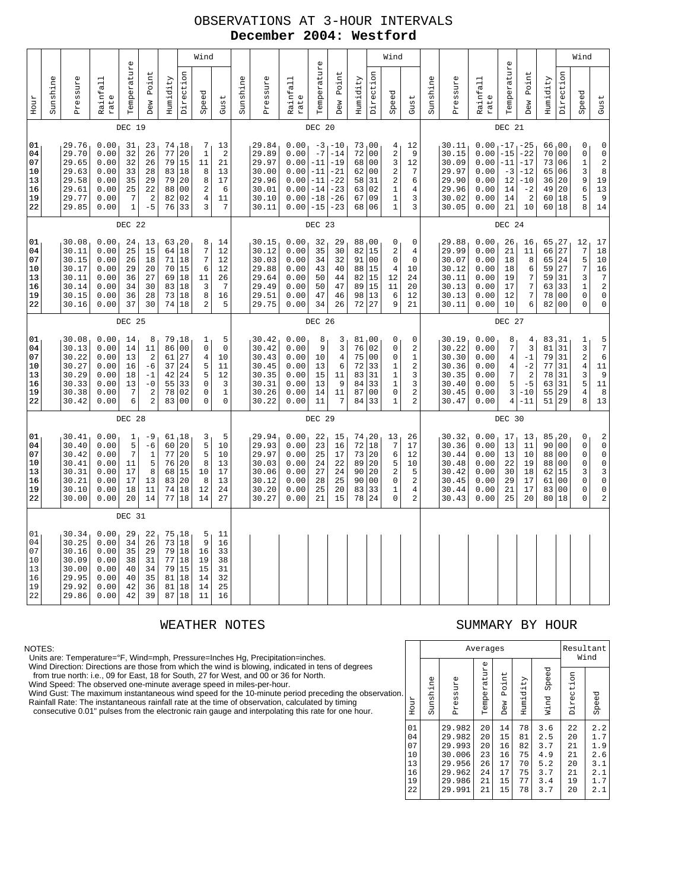## OBSERVATIONS AT 3-HOUR INTERVALS **December 2004: Westford**

|                                              |          | Wind<br>$\mathbb U$                                                  |                                                              |                                                                   |                                                                                      |                                              |                                                                      |                                                          |                                                                       |          |                                                                      |                                                              | $\mathbb U$                                                |                                                                                        |                                                  |                                                                                   | Wind                                                                                           |                                                                    |          |                                                                      |                                                                          | $\mathbb U$                                       |                                                                    |                                                    |                                                                                               | Wind                                                                     |                            |
|----------------------------------------------|----------|----------------------------------------------------------------------|--------------------------------------------------------------|-------------------------------------------------------------------|--------------------------------------------------------------------------------------|----------------------------------------------|----------------------------------------------------------------------|----------------------------------------------------------|-----------------------------------------------------------------------|----------|----------------------------------------------------------------------|--------------------------------------------------------------|------------------------------------------------------------|----------------------------------------------------------------------------------------|--------------------------------------------------|-----------------------------------------------------------------------------------|------------------------------------------------------------------------------------------------|--------------------------------------------------------------------|----------|----------------------------------------------------------------------|--------------------------------------------------------------------------|---------------------------------------------------|--------------------------------------------------------------------|----------------------------------------------------|-----------------------------------------------------------------------------------------------|--------------------------------------------------------------------------|----------------------------|
| Hour                                         | Sunshine | Pressure                                                             | Rainfall<br>rate                                             | Temperatur                                                        | Point<br>Dew                                                                         | Humidity                                     | Direction                                                            | Speed                                                    | Gust                                                                  | Sunshine | Pressure                                                             | Rainfall<br>rate                                             | Temperatur                                                 | Point<br>Dew                                                                           | Humidity                                         | Direction                                                                         | Speed                                                                                          | Gust                                                               | Sunshine | Pressure                                                             | Rainfall<br>rate                                                         | Temperatur                                        | Point<br>Dew                                                       | Humidity                                           | Direction                                                                                     | Speed                                                                    | Gust                       |
|                                              |          |                                                                      |                                                              | DEC 19                                                            |                                                                                      |                                              |                                                                      |                                                          |                                                                       |          |                                                                      |                                                              | DEC 20                                                     |                                                                                        |                                                  |                                                                                   |                                                                                                |                                                                    |          |                                                                      |                                                                          | DEC 21                                            |                                                                    |                                                    |                                                                                               |                                                                          |                            |
| 01<br>04<br>07<br>10<br>13<br>16<br>19<br>22 |          | 29.76<br>29.70<br>29.65<br>29.63<br>29.58<br>29.61<br>29.77<br>29.85 | 0.00<br>0.00<br>0.00<br>0.00<br>0.00<br>0.00<br>0.00<br>0.00 | 31<br>32<br>32<br>33<br>35<br>25<br>7<br>$\mathbf{1}$             | 23<br>26<br>26<br>28<br>29<br>22<br>2<br>$-5$                                        | 77<br>79<br>83<br>79<br>88<br>82<br>76       | 74, 18<br>20<br>15<br>18<br>20<br>0 <sub>0</sub><br>02<br>33         | 7<br>$\mathbf 1$<br>11<br>8<br>8<br>$\sqrt{2}$<br>4<br>3 | 13<br>$\boldsymbol{2}$<br>21<br>13<br>17<br>6<br>11<br>7              |          | 29.84<br>29.89<br>29.97<br>30.00<br>29.96<br>30.01<br>30.10<br>30.11 | 0.00<br>0.00<br>0.00<br>0.00<br>0.00<br>0.00<br>0.00<br>0.00 | $-7$<br>$-11$<br>$-11$<br>$-11$<br>$-14$<br>$-18$<br>$-15$ | $-3$ <sub>1</sub> $-10$<br>$-14$<br>$-19$<br>$-21$<br>$-22$<br>$-23$<br>$-26$<br>$-23$ | 73,00<br>72<br>68<br>62<br>58<br>63<br>67<br>68  | 00<br>0 <sub>0</sub><br>0 <sub>0</sub><br>31<br>02<br>09<br>06                    | 4<br>2<br>3<br>$\mathbf 2$<br>$\overline{\mathbf{c}}$<br>$\mathbf{1}$<br>$1\,$<br>$\mathbf{1}$ | 12<br>9<br>12<br>$\boldsymbol{7}$<br>6<br>4<br>3<br>3              |          | 30.11<br>30.15<br>30.09<br>29.97<br>29.90<br>29.96<br>30.02<br>30.05 | $0.00 - 17 - 25$<br>0.00<br>0.00<br>0.00<br>0.00<br>0.00<br>0.00<br>0.00 | $-15$<br>$-11$<br>$-3$<br>12<br>14<br>14<br>21    | $-22$<br>$-17$<br>-12<br>$-10$<br>$-2$<br>$\overline{2}$<br>10     | 66,00<br>70<br>73<br>65<br>36<br>49<br>60<br>60 18 | 0 <sup>0</sup><br>06<br>06<br>20<br>20<br> 18                                                 | 0<br>0<br>$\mathbf{1}$<br>3<br>9<br>6<br>5<br>8                          | 19<br>13<br>$14$           |
|                                              |          |                                                                      |                                                              | DEC 22                                                            |                                                                                      |                                              |                                                                      |                                                          |                                                                       |          |                                                                      |                                                              | DEC 23                                                     |                                                                                        |                                                  |                                                                                   |                                                                                                |                                                                    |          |                                                                      |                                                                          | DEC 24                                            |                                                                    |                                                    |                                                                                               |                                                                          |                            |
| 01<br>04<br>07<br>10<br>13<br>16<br>19<br>22 |          | 30.08<br>30.11<br>30.15<br>30.17<br>30.11<br>30.14<br>30.15<br>30.16 | 0.00<br>0.00<br>0.00<br>0.00<br>0.00<br>0.00<br>0.00<br>0.00 | 24<br>25<br>26<br>29<br>36<br>34<br>36<br>37                      | 13<br>15<br>18<br>20<br>27<br>30<br>28<br>30                                         | 64<br>71<br>70<br>69<br>83<br>73<br>74       | 63, 20<br>18<br>18<br>15<br>18<br>18<br>18<br>18                     | 8<br>7<br>7<br>6<br>11<br>3<br>8<br>2                    | 14<br>12<br>12<br>12<br>26<br>$\overline{7}$<br>16<br>5               |          | 30.15<br>30.12<br>30.03<br>29.88<br>29.64<br>29.49<br>29.51<br>29.75 | 0.00<br>0.00<br>0.00<br>0.00<br>0.00<br>0.00<br>0.00<br>0.00 | 32<br>35<br>34<br>43<br>50<br>50<br>47<br>34               | 29<br>30<br>32<br>40<br>44<br>47<br>46<br>26                                           | 88<br>82<br>91<br>88<br>82<br>89<br>98<br>72     | 00 <sub>1</sub><br>15<br>00<br>15<br>15<br>15<br>13<br>27                         | 0<br>2<br>0<br>4<br>12<br>11<br>6<br>9                                                         | 0<br>4<br>$\mathsf 0$<br>10<br>24<br>20<br>12<br>21                |          | 29.88<br>29.99<br>30.07<br>30.12<br>30.11<br>30.13<br>30.13<br>30.11 | 0.00<br>0.00<br>0.00<br>0.00<br>0.00<br>0.00<br>0.00<br>0.00             | 26<br>21<br>18<br>18<br>19<br>17<br>12<br>10      | 16<br>11<br>8<br>6<br>7<br>$\overline{7}$<br>$\overline{7}$<br>6   | 65<br>66<br>65<br>59<br>59<br>63<br>78<br>82       | 127<br>27<br>24<br>27<br>31<br>33<br>0 <sub>0</sub><br>0 <sub>0</sub>                         | 12<br>$\overline{7}$<br>5<br>7<br>3<br>$\mathbf{1}$<br>0<br>$\Omega$     | 17<br>$1\,8$<br>$10$<br>16 |
|                                              | DEC 25   |                                                                      |                                                              |                                                                   |                                                                                      |                                              |                                                                      |                                                          |                                                                       |          |                                                                      |                                                              | DEC 26                                                     |                                                                                        |                                                  |                                                                                   |                                                                                                |                                                                    |          |                                                                      |                                                                          | DEC 27                                            |                                                                    |                                                    |                                                                                               |                                                                          |                            |
| 01<br>04<br>07<br>10<br>13<br>16<br>19<br>22 |          | 30.08<br>30.13<br>30.22<br>30.27<br>30.29<br>30.33<br>30.38<br>30.42 | 0.00<br>0.00<br>0.00<br>0.00<br>0.00<br>0.00<br>0.00<br>0.00 | 14<br>14<br>13<br>16<br>18<br>13<br>7<br>6                        | 8<br>11<br>$\overline{a}$<br>$-6$<br>$^{-1}$<br>$-0$<br>$\sqrt{2}$<br>$\overline{a}$ | 79<br>86<br>61<br>37<br>42<br>55<br>78<br>83 | 18<br>0 <sub>0</sub><br>27<br>24<br>24<br>33<br>02<br>0 <sub>0</sub> | 1<br>0<br>4<br>5<br>5<br>$\mathbf 0$<br>0<br>0           | 5<br>$\mathsf 0$<br>10<br>11<br>12<br>3<br>$\mathbf 1$<br>$\mathbf 0$ |          | 30.42<br>30.42<br>30.43<br>30.45<br>30.35<br>30.31<br>30.26<br>30.22 | 0.00<br>0.00<br>0.00<br>0.00<br>0.00<br>0.00<br>0.00<br>0.00 | 8<br>9<br>10<br>13<br>15<br>13<br>14<br>11                 | 3<br>3<br>$\overline{4}$<br>6<br>11<br>9<br>11<br>7                                    | 81<br>76<br>75<br>72<br>83<br>84<br>87<br>84     | 00 <sub>1</sub><br>02<br>0 <sub>0</sub><br>33<br>31<br>33<br>0 <sub>0</sub><br>33 | 0<br>0<br>0<br>1<br>1<br>$\mathbf{1}$<br>0<br>$\mathbf{1}$                                     | 0<br>2<br>$\mathbf{1}$<br>$\mathbf 2$<br>3<br>3<br>2<br>2          |          | 30.19<br>30.22<br>30.30<br>30.36<br>30.35<br>30.40<br>30.45<br>30.47 | 0.00<br>0.00<br>0.00<br>0.00<br>0.00<br>0.00<br>0.00<br>0.00             | 8<br>$\overline{7}$<br>4<br>4<br>7<br>5<br>3<br>4 | 4<br>$\overline{3}$<br>$-1$<br>$-2$<br>2<br>$-5$<br>$-10$<br>$-11$ | 83<br>81<br>79<br>77<br>78<br>63<br>55<br>51       | 31 ر<br>31<br>31<br>31<br>31<br>31<br>29<br>29                                                | 1<br>3<br>$\mathbf 2$<br>$\overline{4}$<br>3<br>5<br>$\overline{4}$<br>8 | $11\,$<br>11<br>13         |
|                                              |          |                                                                      |                                                              | DEC 28                                                            |                                                                                      |                                              |                                                                      |                                                          |                                                                       |          |                                                                      |                                                              | DEC 29                                                     |                                                                                        |                                                  |                                                                                   |                                                                                                |                                                                    |          |                                                                      |                                                                          | DEC 30                                            |                                                                    |                                                    |                                                                                               |                                                                          |                            |
| 01<br>04<br>07<br>10<br>13<br>16<br>19<br>22 |          | 30.41<br>30.40<br>30.42<br>30.41<br>30.31<br>30.21<br>30.10<br>30.00 | 0.00<br>0.00<br>0.00<br>0.00<br>0.00<br>0.00<br>0.00<br>0.00 | $\mathbf{1}$<br>5<br>$\overline{7}$<br>11<br>17<br>17<br>18<br>20 | -9<br>$-6$<br>$\mathbf{1}$<br>5<br>8<br>13<br>11<br>14                               | 60<br>77<br>76<br>68<br>83<br>74<br>77       | 61,18<br>20<br>20<br>20<br>15<br>20<br>18<br>18                      | 3<br>5<br>5<br>8<br>10<br>8<br>12<br>14                  | 5<br>10<br>10<br>13<br>17<br>13<br>24<br>27                           |          | 29.94<br>29.93<br>29.97<br>30.03<br>30.06<br>30.12<br>30.20<br>30.27 | 0.00<br>0.00<br>0.00<br>0.00<br>0.00<br>0.00<br>0.00<br>0.00 | 22<br>23<br>25<br>24<br>27<br>28<br>25<br>21               | 15<br>16<br>17<br>22<br>24<br>25<br>20<br>15                                           | 74, 20<br>72<br>73<br>89<br>90<br>90<br>83<br>78 | 18<br> 20<br>20<br>20<br>0 <sub>0</sub><br>33<br>24                               | 13<br>7<br>6<br>5<br>2<br>0<br>1<br>0                                                          | 26<br>17<br>12<br>10<br>5<br>$\overline{2}$<br>$\overline{4}$<br>2 |          | 30.32<br>30.36<br>30.44<br>30.48<br>30.42<br>30.45<br>30.44<br>30.43 | 0.00<br>0.00<br>0.00<br>0.00<br>0.00<br>0.00<br>0.00<br>0.00             | 17<br>13<br>13<br>22<br>30<br>29<br>21<br>25      | 13<br>11<br>10<br>19<br>18<br>17<br>17<br>20                       | 85<br>90<br>88<br>88<br>62<br>61<br>83<br>80       | 120<br>0 <sub>0</sub><br>0 <sub>0</sub><br>0 <sub>0</sub><br>15<br>00<br>0 <sub>0</sub><br>18 | 0<br>0<br>$\mathbf 0$<br>0<br>3<br>0<br>0<br>$\mathbf 0$                 |                            |
|                                              |          |                                                                      |                                                              | DEC 31                                                            |                                                                                      |                                              |                                                                      |                                                          |                                                                       |          |                                                                      |                                                              |                                                            |                                                                                        |                                                  |                                                                                   |                                                                                                |                                                                    |          |                                                                      |                                                                          |                                                   |                                                                    |                                                    |                                                                                               |                                                                          |                            |
| 01<br>04<br>07<br>10<br>13<br>16<br>19<br>22 |          | 30.34<br>30.25<br>30.16<br>30.09<br>30.00<br>29.95<br>29.92<br>29.86 | 0.00<br>0.00<br>0.00<br>0.00<br>0.00<br>0.00<br>0.00<br>0.00 | 29<br>34<br>35<br>38<br>40<br>40<br>42<br>42                      | 22<br>26<br>29<br>31<br>34<br>35<br>36<br>39                                         | 73<br>77<br>79<br>81<br>81<br>87             | 75, 18<br>18<br>79 18<br>18<br>15<br>18<br>18<br>18                  | 5<br>9<br>16<br>19<br>15<br>14<br>14<br>11               | $11\,$<br>16<br>33<br>38<br>31<br>32<br>25<br>16                      |          |                                                                      |                                                              |                                                            |                                                                                        |                                                  |                                                                                   |                                                                                                |                                                                    |          |                                                                      |                                                                          |                                                   |                                                                    |                                                    |                                                                                               |                                                                          |                            |

### NOTES:

Units are: Temperature=°F, Wind=mph, Pressure=Inches Hg, Precipitation=inches. Wind Direction: Directions are those from which the wind is blowing, indicated in tens of degrees from true north: i.e., 09 for East, 18 for South, 27 for West, and 00 or 36 for North.

Wind Speed: The observed one-minute average speed in miles-per-hour.

Wind Gust: The maximum instantaneous wind speed for the 10-minute period preceding the observation.<br>Rainfall Rate: The instantaneous rainfall rate at the time of observation, calculated by timing<br>consecutive 0.01" pulses f

## WEATHER NOTES SUMMARY BY HOUR

|     |                                              |          | Averages                                                                     | Resultant<br>Wind                            |                                              |                                              |                                                      |                                              |                                                      |
|-----|----------------------------------------------|----------|------------------------------------------------------------------------------|----------------------------------------------|----------------------------------------------|----------------------------------------------|------------------------------------------------------|----------------------------------------------|------------------------------------------------------|
| οn. | Hour                                         | Sunshine | Pressure                                                                     | Temperature                                  | Point<br>Dew                                 | Humidity                                     | Speed<br>Wind                                        | Direction                                    | Speed                                                |
|     | 01<br>04<br>07<br>10<br>13<br>16<br>19<br>22 |          | 29.982<br>29.982<br>29.993<br>30.006<br>29.956<br>29.962<br>29.986<br>29.991 | 20<br>20<br>20<br>23<br>26<br>24<br>21<br>21 | 14<br>15<br>16<br>16<br>17<br>17<br>15<br>15 | 78<br>81<br>82<br>75<br>70<br>75<br>77<br>78 | 3.6<br>2.5<br>3.7<br>4.9<br>5.2<br>3.7<br>3.4<br>3.7 | 22<br>20<br>21<br>21<br>20<br>21<br>19<br>20 | 2.2<br>1.7<br>1.9<br>2.6<br>3.1<br>2.1<br>1.7<br>2.1 |
|     |                                              |          |                                                                              |                                              |                                              |                                              |                                                      |                                              |                                                      |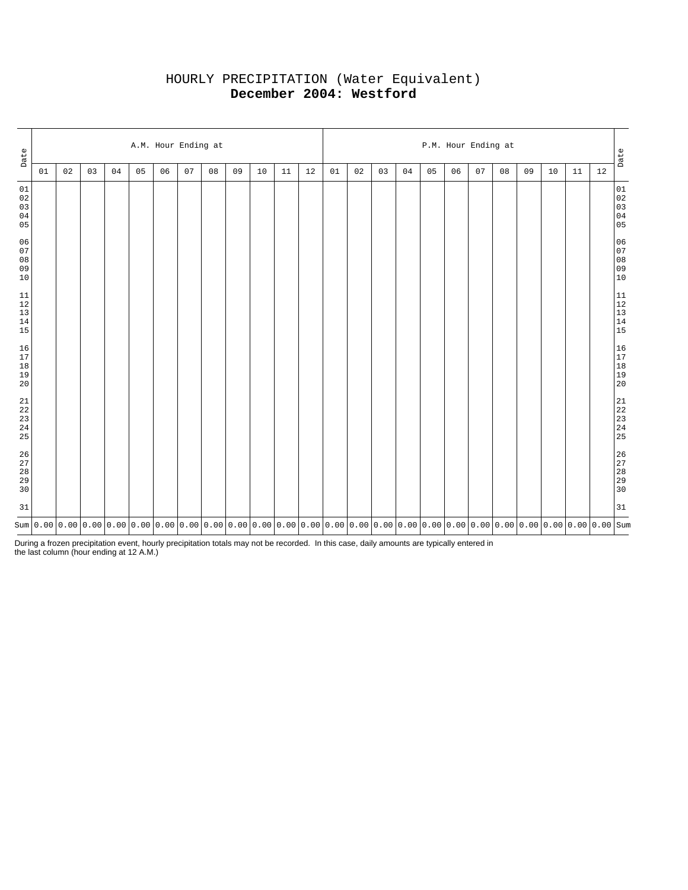# HOURLY PRECIPITATION (Water Equivalent) **December 2004: Westford**

| Date                                                      |    | A.M. Hour Ending at |    |    |    |    |    |    |    |    |    |    |    |    | P.M. Hour Ending at<br>Date |    |    |    |    |    |    |    |    |      |                                                           |  |  |
|-----------------------------------------------------------|----|---------------------|----|----|----|----|----|----|----|----|----|----|----|----|-----------------------------|----|----|----|----|----|----|----|----|------|-----------------------------------------------------------|--|--|
|                                                           | 01 | 02                  | 03 | 04 | 05 | 06 | 07 | 08 | 09 | 10 | 11 | 12 | 01 | 02 | 03                          | 04 | 05 | 06 | 07 | 08 | 09 | 10 | 11 | $12$ |                                                           |  |  |
| 01<br>$0\,2$<br>03<br>$0\,4$<br>05                        |    |                     |    |    |    |    |    |    |    |    |    |    |    |    |                             |    |    |    |    |    |    |    |    |      | $\begin{array}{c} 01 \\ 02 \\ 03 \\ 04 \\ 05 \end{array}$ |  |  |
| 06<br>07<br>$0\,8$<br>09<br>10                            |    |                     |    |    |    |    |    |    |    |    |    |    |    |    |                             |    |    |    |    |    |    |    |    |      | 06<br>07<br>08<br>09<br>09<br>10                          |  |  |
| $11\,$<br>$12\,$<br>$13\,$<br>14<br>15                    |    |                     |    |    |    |    |    |    |    |    |    |    |    |    |                             |    |    |    |    |    |    |    |    |      | $\begin{array}{c} 11 \\ 12 \\ 13 \\ 14 \\ 15 \end{array}$ |  |  |
| 16<br>$17\,$<br>$18\,$<br>$19\,$<br>20                    |    |                     |    |    |    |    |    |    |    |    |    |    |    |    |                             |    |    |    |    |    |    |    |    |      | $\begin{array}{c} 16 \\ 17 \\ 18 \\ 19 \\ 20 \end{array}$ |  |  |
| $\begin{array}{c} 21 \\ 22 \\ 23 \\ 24 \end{array}$<br>25 |    |                     |    |    |    |    |    |    |    |    |    |    |    |    |                             |    |    |    |    |    |    |    |    |      | $\begin{array}{c} 21 \\ 22 \\ 23 \\ 24 \\ 25 \end{array}$ |  |  |
| $\frac{26}{27}$<br>$2\,8$<br>29<br>30                     |    |                     |    |    |    |    |    |    |    |    |    |    |    |    |                             |    |    |    |    |    |    |    |    |      | 26<br>27<br>28<br>29<br>29<br>30                          |  |  |
| 31                                                        |    |                     |    |    |    |    |    |    |    |    |    |    |    |    |                             |    |    |    |    |    |    |    |    |      | 31                                                        |  |  |
|                                                           |    |                     |    |    |    |    |    |    |    |    |    |    |    |    |                             |    |    |    |    |    |    |    |    |      |                                                           |  |  |

During a frozen precipitation event, hourly precipitation totals may not be recorded. In this case, daily amounts are typically entered in the last column (hour ending at 12 A.M.)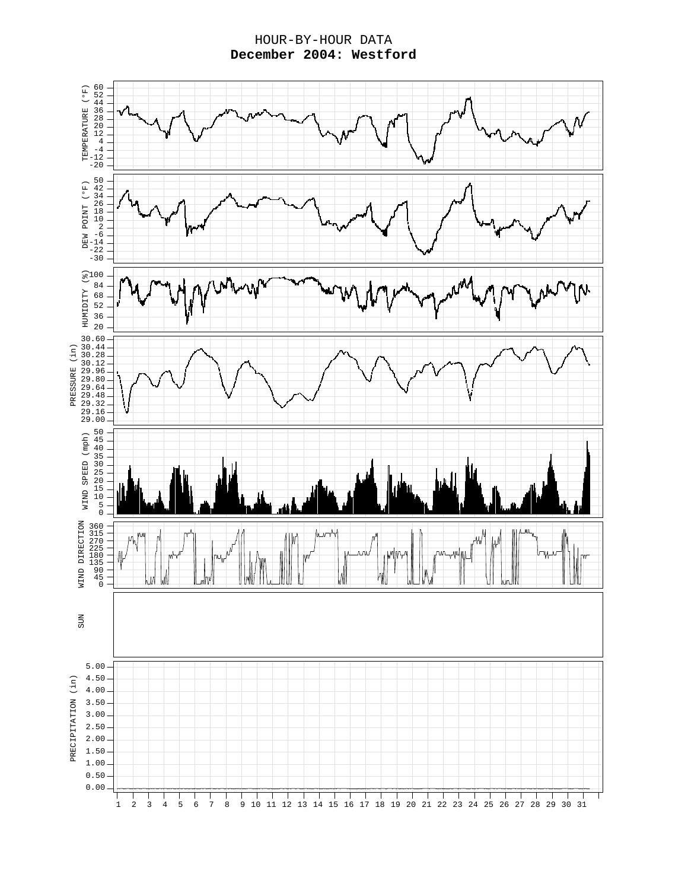HOUR-BY-HOUR DATA **December 2004: Westford**